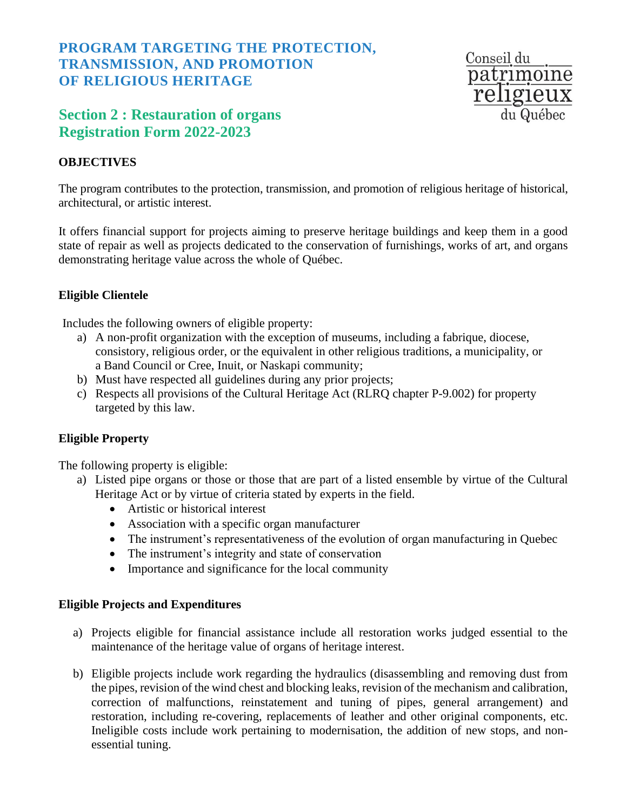# **PROGRAM TARGETING THE PROTECTION, TRANSMISSION, AND PROMOTION OF RELIGIOUS HERITAGE**

# **Section 2 : Restauration of organs Registration Form 2022-2023**

## **OBJECTIVES**

Conseil du patrimoine religieux du Québec

The program contributes to the protection, transmission, and promotion of religious heritage of historical, architectural, or artistic interest.

It offers financial support for projects aiming to preserve heritage buildings and keep them in a good state of repair as well as projects dedicated to the conservation of furnishings, works of art, and organs demonstrating heritage value across the whole of Québec.

#### **Eligible Clientele**

Includes the following owners of eligible property:

- a) A non-profit organization with the exception of museums, including a fabrique, diocese, consistory, religious order, or the equivalent in other religious traditions, a municipality, or a Band Council or Cree, Inuit, or Naskapi community;
- b) Must have respected all guidelines during any prior projects;
- c) Respects all provisions of the Cultural Heritage Act (RLRQ chapter P-9.002) for property targeted by this law.

### **Eligible Property**

The following property is eligible:

- a) Listed pipe organs or those or those that are part of a listed ensemble by virtue of the Cultural Heritage Act or by virtue of criteria stated by experts in the field.
	- Artistic or historical interest
	- Association with a specific organ manufacturer
	- The instrument's representativeness of the evolution of organ manufacturing in Quebec
	- The instrument's integrity and state of conservation
	- Importance and significance for the local community

#### **Eligible Projects and Expenditures**

- a) Projects eligible for financial assistance include all restoration works judged essential to the maintenance of the heritage value of organs of heritage interest.
- b) Eligible projects include work regarding the hydraulics (disassembling and removing dust from the pipes, revision of the wind chest and blocking leaks, revision of the mechanism and calibration, correction of malfunctions, reinstatement and tuning of pipes, general arrangement) and restoration, including re-covering, replacements of leather and other original components, etc. Ineligible costs include work pertaining to modernisation, the addition of new stops, and nonessential tuning.